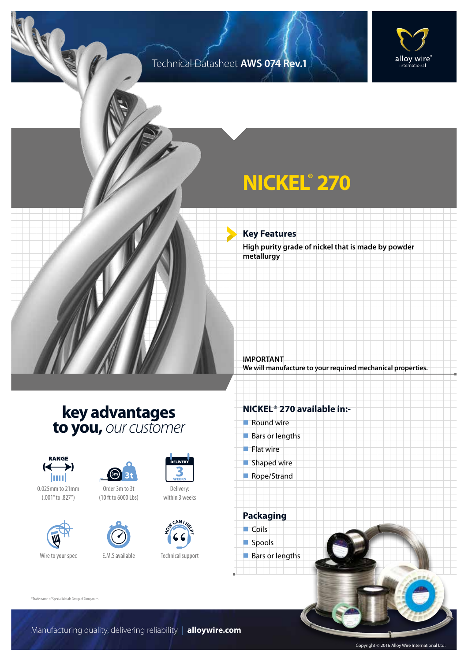### Technical Datasheet **AWS 074 Rev.1**



## **NICKEL® 270**

**Key Features**

**High purity grade of nickel that is made by powder metallurgy**

**We will manufacture to your required mechanical properties.**

### **key advantages to you,** *our customer*



0.025mm to 21mm (.001" to .827")







Delivery: within 3 weeks



Technical support

#### **NICKEL® 270 available in:-**

 $\blacksquare$  Round wire

**IMPORTANT**

- $Bars$  or lengths
- $\blacksquare$  Flat wire
- $\blacksquare$  Shaped wire
- Rope/Strand

**Packaging**  $\Box$  Coils spools  $\blacksquare$  Bars or lengths

®Trade name of Special Metals Group of Companies.

Copyright © 2016 Alloy Wire International Ltd.